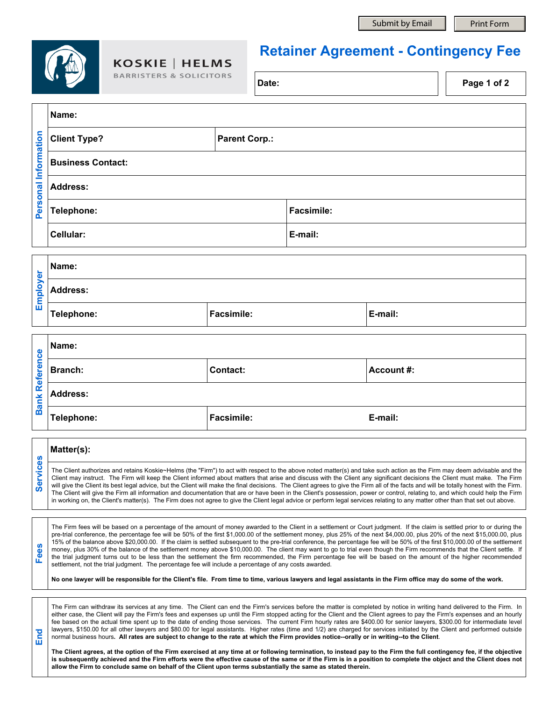**Name:**

**End**

## **KOSKIE | HELMS**

B.

## **Retainer Agreement - Contingency Fee**

| <b>ARRISTERS &amp; SOLICITORS</b> | Date: | Page 1 of 2 |
|-----------------------------------|-------|-------------|
|                                   |       |             |

| Information<br>Personal | <b>Parent Corp.:</b><br><b>Client Type?</b> |                   |
|-------------------------|---------------------------------------------|-------------------|
|                         | <b>Business Contact:</b>                    |                   |
|                         | <b>Address:</b>                             |                   |
|                         | Telephone:                                  | <b>Facsimile:</b> |
|                         | <b>Cellular:</b>                            | E-mail:           |

| ត<br><u>៍</u><br>$\overline{\mathbf{o}}$<br>ш | Name:           |                   |         |  |
|-----------------------------------------------|-----------------|-------------------|---------|--|
|                                               | <b>Address:</b> |                   |         |  |
|                                               | Telephone:      | <b>Facsimile:</b> | E-mail: |  |

|             | Name:           |                   |            |  |
|-------------|-----------------|-------------------|------------|--|
| Reference   | <b>Branch:</b>  | <b>Contact:</b>   | Account #: |  |
| <b>Bank</b> | <b>Address:</b> |                   |            |  |
|             | Telephone:      | <b>Facsimile:</b> | E-mail:    |  |
|             |                 |                   |            |  |

|  | Matter(s):                                                                                                                                                                                                                                                                                                                                                                                                                                                                                                                                                                                                                                                                                                                                                                                                                                                                                                           |  |  |
|--|----------------------------------------------------------------------------------------------------------------------------------------------------------------------------------------------------------------------------------------------------------------------------------------------------------------------------------------------------------------------------------------------------------------------------------------------------------------------------------------------------------------------------------------------------------------------------------------------------------------------------------------------------------------------------------------------------------------------------------------------------------------------------------------------------------------------------------------------------------------------------------------------------------------------|--|--|
|  | The Client authorizes and retains Koskie~Helms (the "Firm") to act with respect to the above noted matter(s) and take such action as the Firm may deem advisable and the<br>Client may instruct. The Firm will keep the Client informed about matters that arise and discuss with the Client any significant decisions the Client must make. The Firm<br>will give the Client its best legal advice, but the Client will make the final decisions. The Client agrees to give the Firm all of the facts and will be totally honest with the Firm.<br>The Client will give the Firm all information and documentation that are or have been in the Client's possession, power or control, relating to, and which could help the Firm<br>in working on, the Client's matter(s). The Firm does not agree to give the Client legal advice or perform legal services relating to any matter other than that set out above. |  |  |

**Fees** The Firm fees will be based on a percentage of the amount of money awarded to the Client in a settlement or Court judgment. If the claim is settled prior to or during the pre-trial conference, the percentage fee will be 50% of the first \$1,000.00 of the settlement money, plus 25% of the next \$4,000.00, plus 20% of the next \$15,000.00, plus 15% of the balance above \$20,000.00. If the claim is settled subsequent to the pre-trial conference, the percentage fee will be 50% of the first \$10,000.00 of the settlement money, plus 30% of the balance of the settlement money above \$10,000.00. The client may want to go to trial even though the Firm recommends that the Client settle. If the trial judgment turns out to be less than the settlement the firm recommended, the Firm percentage fee will be based on the amount of the higher recommended settlement, not the trial judgment. The percentage fee will include a percentage of any costs awarded.

**No one lawyer will be responsible for the Client's file. From time to time, various lawyers and legal assistants in the Firm office may do some of the work.**

The Firm can withdraw its services at any time. The Client can end the Firm's services before the matter is completed by notice in writing hand delivered to the Firm. In either case, the Client will pay the Firm's fees and expenses up until the Firm stopped acting for the Client and the Client agrees to pay the Firm's expenses and an hourly fee based on the actual time spent up to the date of ending those services. The current Firm hourly rates are \$400.00 for senior lawyers, \$300.00 for intermediate level lawyers, \$150.00 for all other lawyers and \$80.00 for legal assistants. Higher rates (time and 1/2) are charged for services initiated by the Client and performed outside normal business hours**. All rates are subject to change to the rate at which the Firm provides notice--orally or in writing--to the Client**.

**The Client agrees, at the option of the Firm exercised at any time at or following termination, to instead pay to the Firm the full contingency fee, if the objective**  is subsequently achieved and the Firm efforts were the effective cause of the same or if the Firm is in a position to complete the object and the Client does not **allow the Firm to conclude same on behalf of the Client upon terms substantially the same as stated therein.**